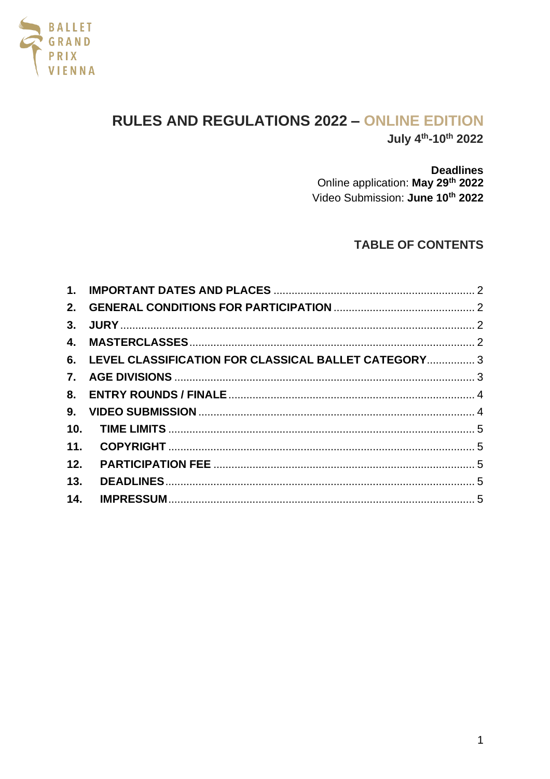

# **RULES AND REGULATIONS 2022 - ONLINE EDITION** July 4<sup>th</sup>-10<sup>th</sup> 2022

**Deadlines** 

Online application: May 29th 2022 Video Submission: June 10th 2022

## **TABLE OF CONTENTS**

|     | 6. LEVEL CLASSIFICATION FOR CLASSICAL BALLET CATEGORY 3 |  |
|-----|---------------------------------------------------------|--|
|     |                                                         |  |
|     |                                                         |  |
|     |                                                         |  |
|     |                                                         |  |
|     |                                                         |  |
| 12. |                                                         |  |
| 13. |                                                         |  |
|     |                                                         |  |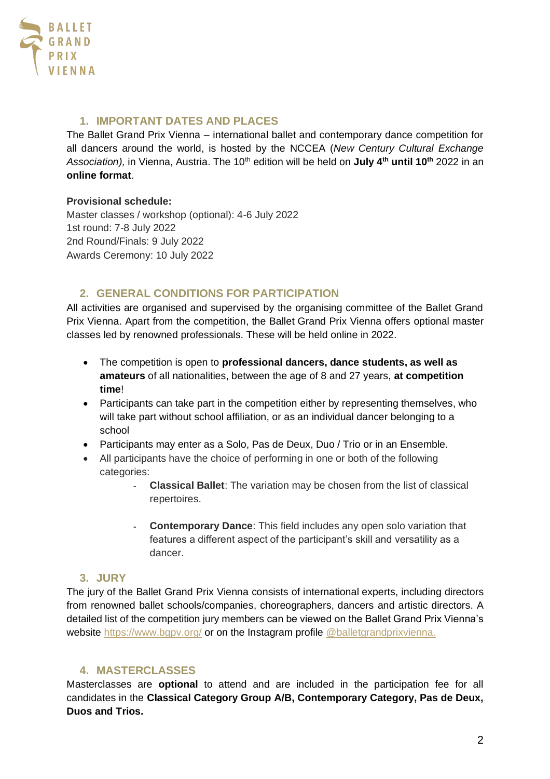

## <span id="page-1-0"></span>**1. IMPORTANT DATES AND PLACES**

The Ballet Grand Prix Vienna – international ballet and contemporary dance competition for all dancers around the world, is hosted by the NCCEA (*New Century Cultural Exchange Association),* in Vienna, Austria. The 10th edition will be held on **July 4th until 10th** 2022 in an **online format**.

#### **Provisional schedule:**

Master classes / workshop (optional): 4-6 July 2022 1st round: 7-8 July 2022 2nd Round/Finals: 9 July 2022 Awards Ceremony: 10 July 2022

## <span id="page-1-1"></span>**2. GENERAL CONDITIONS FOR PARTICIPATION**

All activities are organised and supervised by the organising committee of the Ballet Grand Prix Vienna. Apart from the competition, the Ballet Grand Prix Vienna offers optional master classes led by renowned professionals. These will be held online in 2022.

- The competition is open to **professional dancers, dance students, as well as amateurs** of all nationalities, between the age of 8 and 27 years, **at competition time**!
- Participants can take part in the competition either by representing themselves, who will take part without school affiliation, or as an individual dancer belonging to a school
- Participants may enter as a Solo, Pas de Deux, Duo / Trio or in an Ensemble.
- All participants have the choice of performing in one or both of the following categories:
	- **Classical Ballet**: The variation may be chosen from the list of classical repertoires.
	- **Contemporary Dance**: This field includes any open solo variation that features a different aspect of the participant's skill and versatility as a dancer.

## <span id="page-1-2"></span>**3. JURY**

The jury of the Ballet Grand Prix Vienna consists of international experts, including directors from renowned ballet schools/companies, choreographers, dancers and artistic directors. A detailed list of the competition jury members can be viewed on the Ballet Grand Prix Vienna's website<https://www.bgpv.org/> or on the Instagram profile [@balletgrandprixvienna.](https://www.instagram.com/balletgrandprixvienna/)

## <span id="page-1-3"></span>**4. MASTERCLASSES**

Masterclasses are **optional** to attend and are included in the participation fee for all candidates in the **Classical Category Group A/B, Contemporary Category, Pas de Deux, Duos and Trios.**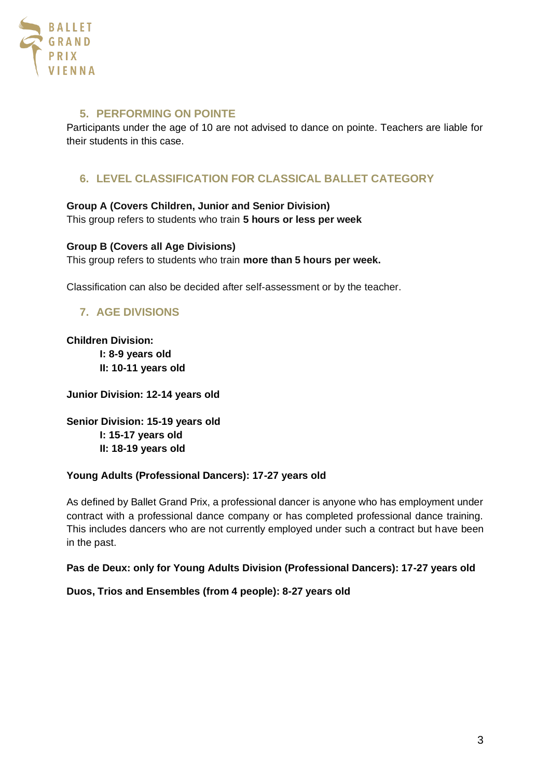

#### **5. PERFORMING ON POINTE**

Participants under the age of 10 are not advised to dance on pointe. Teachers are liable for their students in this case.

## <span id="page-2-0"></span>**6. LEVEL CLASSIFICATION FOR CLASSICAL BALLET CATEGORY**

#### **Group A (Covers Children, Junior and Senior Division)**

This group refers to students who train **5 hours or less per week**

#### **Group B (Covers all Age Divisions)**

This group refers to students who train **more than 5 hours per week.**

<span id="page-2-1"></span>Classification can also be decided after self-assessment or by the teacher.

## **7. AGE DIVISIONS**

**Children Division: I: 8-9 years old II: 10-11 years old**

**Junior Division: 12-14 years old** 

**Senior Division: 15-19 years old I: 15-17 years old II: 18-19 years old**

#### **Young Adults (Professional Dancers): 17-27 years old**

As defined by Ballet Grand Prix, a professional dancer is anyone who has employment under contract with a professional dance company or has completed professional dance training. This includes dancers who are not currently employed under such a contract but have been in the past.

#### **Pas de Deux: only for Young Adults Division (Professional Dancers): 17-27 years old**

**Duos, Trios and Ensembles (from 4 people): 8-27 years old**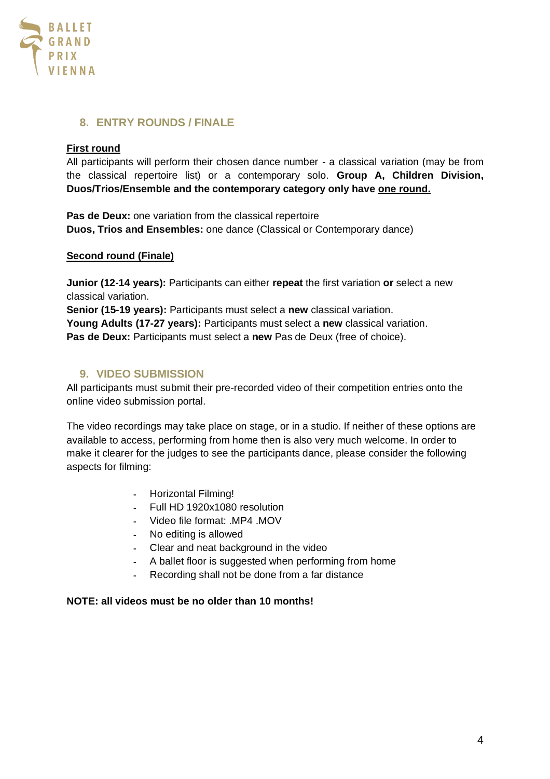

## <span id="page-3-0"></span>**8. ENTRY ROUNDS / FINALE**

#### **First round**

All participants will perform their chosen dance number - a classical variation (may be from the classical repertoire list) or a contemporary solo. **Group A, Children Division, Duos/Trios/Ensemble and the contemporary category only have one round.**

**Pas de Deux:** one variation from the classical repertoire **Duos, Trios and Ensembles:** one dance (Classical or Contemporary dance)

#### **Second round (Finale)**

**Junior (12-14 years):** Participants can either **repeat** the first variation **or** select a new classical variation.

**Senior (15-19 years):** Participants must select a **new** classical variation. **Young Adults (17-27 years):** Participants must select a **new** classical variation. **Pas de Deux:** Participants must select a **new** Pas de Deux (free of choice).

## <span id="page-3-1"></span>**9. VIDEO SUBMISSION**

All participants must submit their pre-recorded video of their competition entries onto the online video submission portal.

The video recordings may take place on stage, or in a studio. If neither of these options are available to access, performing from home then is also very much welcome. In order to make it clearer for the judges to see the participants dance, please consider the following aspects for filming:

- Horizontal Filming!
- Full HD 1920x1080 resolution
- Video file format: .MP4 .MOV
- No editing is allowed
- Clear and neat background in the video
- A ballet floor is suggested when performing from home
- Recording shall not be done from a far distance

#### **NOTE: all videos must be no older than 10 months!**